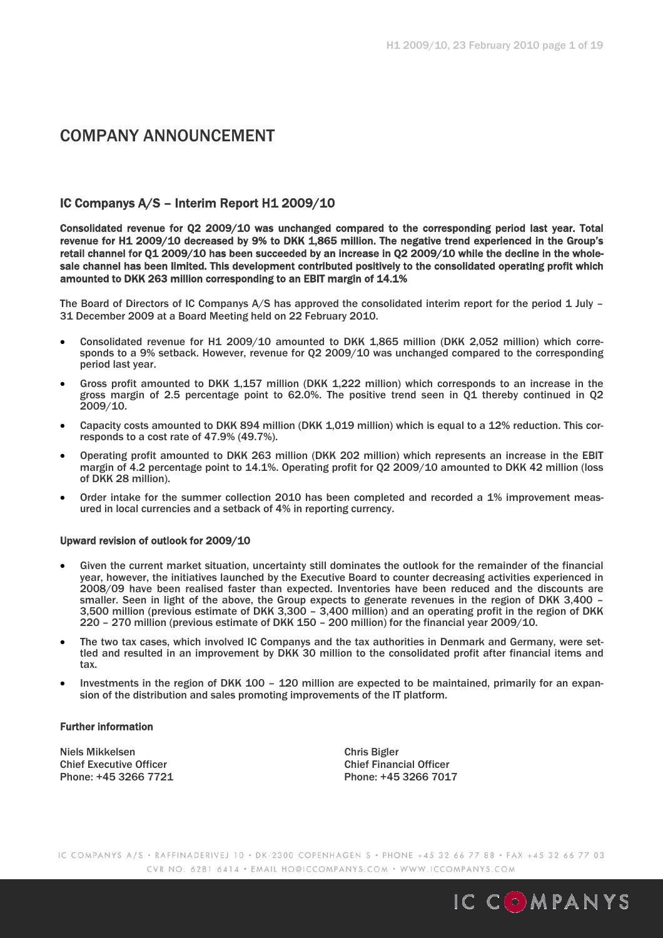# COMPANY ANNOUNCEMENT

## IC Companys A/S – Interim Report H1 2009/10

Consolidated revenue for Q2 2009/10 was unchanged compared to the corresponding period last year. Total revenue for H1 2009/10 decreased by 9% to DKK 1,865 million. The negative trend experienced in the Group's retail channel for Q1 2009/10 has been succeeded by an increase in Q2 2009/10 while the decline in the wholesale channel has been limited. This development contributed positively to the consolidated operating profit which amounted to DKK 263 million corresponding to an EBIT margin of 14.1%

The Board of Directors of IC Companys A/S has approved the consolidated interim report for the period 1 July – 31 December 2009 at a Board Meeting held on 22 February 2010.

- Consolidated revenue for H1 2009/10 amounted to DKK 1,865 million (DKK 2,052 million) which corresponds to a 9% setback. However, revenue for Q2 2009/10 was unchanged compared to the corresponding period last year.
- Gross profit amounted to DKK 1,157 million (DKK 1,222 million) which corresponds to an increase in the gross margin of 2.5 percentage point to 62.0%. The positive trend seen in Q1 thereby continued in Q2 2009/10.
- Capacity costs amounted to DKK 894 million (DKK 1,019 million) which is equal to a 12% reduction. This corresponds to a cost rate of 47.9% (49.7%).
- Operating profit amounted to DKK 263 million (DKK 202 million) which represents an increase in the EBIT margin of 4.2 percentage point to 14.1%. Operating profit for Q2 2009/10 amounted to DKK 42 million (loss of DKK 28 million).
- Order intake for the summer collection 2010 has been completed and recorded a 1% improvement measured in local currencies and a setback of 4% in reporting currency.

#### Upward revision of outlook for 2009/10

- Given the current market situation, uncertainty still dominates the outlook for the remainder of the financial year, however, the initiatives launched by the Executive Board to counter decreasing activities experienced in 2008/09 have been realised faster than expected. Inventories have been reduced and the discounts are smaller. Seen in light of the above, the Group expects to generate revenues in the region of DKK 3,400 – 3,500 million (previous estimate of DKK 3,300 – 3,400 million) and an operating profit in the region of DKK 220 – 270 million (previous estimate of DKK 150 – 200 million) for the financial year 2009/10.
- The two tax cases, which involved IC Companys and the tax authorities in Denmark and Germany, were settled and resulted in an improvement by DKK 30 million to the consolidated profit after financial items and tax.
- Investments in the region of DKK 100 120 million are expected to be maintained, primarily for an expansion of the distribution and sales promoting improvements of the IT platform.

#### Further information

Niels Mikkelsen Chris Bigler Chief Executive Officer<br>
Phone: +45 3266 7721<br>
Phone: +45 3266 701

Phone: +45 3266 7017

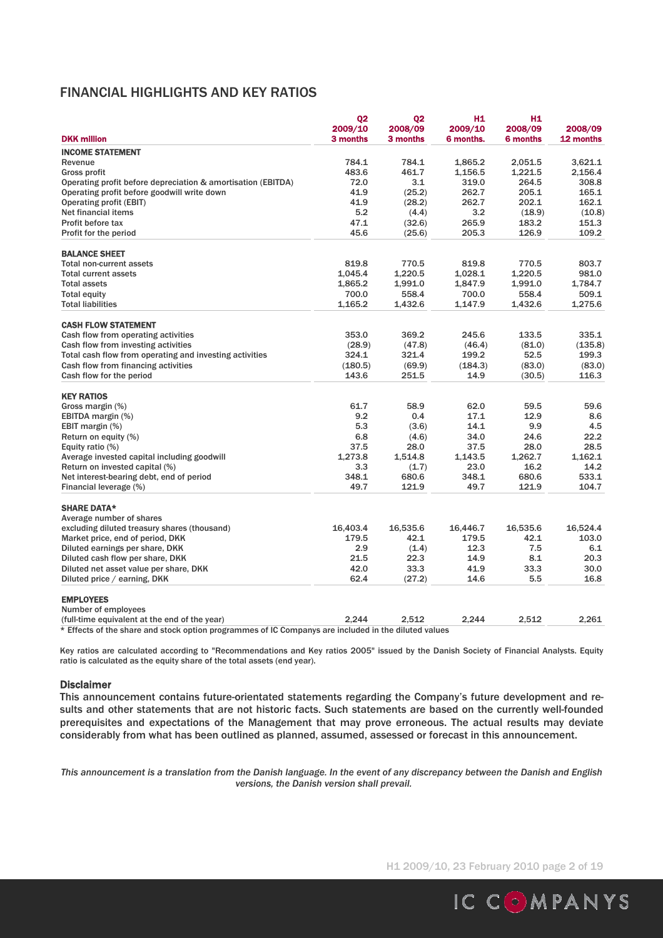## FINANCIAL HIGHLIGHTS AND KEY RATIOS

|                                                                                        | 02                  | Q <sub>2</sub>      | H1                   | H <sub>1</sub>             |                      |
|----------------------------------------------------------------------------------------|---------------------|---------------------|----------------------|----------------------------|----------------------|
| <b>DKK million</b>                                                                     | 2009/10<br>3 months | 2008/09<br>3 months | 2009/10<br>6 months. | 2008/09<br><b>6 months</b> | 2008/09<br>12 months |
| <b>INCOME STATEMENT</b>                                                                |                     |                     |                      |                            |                      |
| Revenue                                                                                | 784.1               | 784.1               | 1,865.2              | 2,051.5                    | 3,621.1              |
| <b>Gross profit</b>                                                                    | 483.6               | 461.7               | 1,156.5              | 1,221.5                    | 2.156.4              |
| Operating profit before depreciation & amortisation (EBITDA)                           | 72.0                | 3.1                 | 319.0                | 264.5                      | 308.8                |
| Operating profit before goodwill write down                                            | 41.9                | (25.2)              | 262.7                | 205.1                      | 165.1                |
| <b>Operating profit (EBIT)</b>                                                         | 41.9                | (28.2)              | 262.7                | 202.1                      | 162.1                |
| Net financial items                                                                    | 5.2                 | (4.4)               | 3.2                  | (18.9)                     | (10.8)               |
| Profit before tax                                                                      | 47.1                | (32.6)              | 265.9                | 183.2                      | 151.3                |
| Profit for the period                                                                  | 45.6                | (25.6)              | 205.3                | 126.9                      | 109.2                |
| <b>BALANCE SHEET</b>                                                                   |                     |                     |                      |                            |                      |
| <b>Total non-current assets</b>                                                        | 819.8               | 770.5               | 819.8                | 770.5                      | 803.7                |
| <b>Total current assets</b>                                                            | 1.045.4             | 1.220.5             | 1.028.1              | 1.220.5                    | 981.0                |
| <b>Total assets</b>                                                                    | 1.865.2             | 1,991.0             | 1.847.9              | 1,991.0                    | 1.784.7              |
| <b>Total equity</b>                                                                    | 700.0               | 558.4               | 700.0                | 558.4                      | 509.1                |
| <b>Total liabilities</b>                                                               | 1,165.2             | 1,432.6             | 1,147.9              | 1,432.6                    | 1,275.6              |
| <b>CASH FLOW STATEMENT</b>                                                             |                     |                     |                      |                            |                      |
| Cash flow from operating activities                                                    | 353.0               | 369.2               | 245.6                | 133.5                      | 335.1                |
| Cash flow from investing activities                                                    | (28.9)              | (47.8)              | (46.4)               | (81.0)                     | (135.8)              |
| Total cash flow from operating and investing activities                                | 324.1               | 321.4               | 199.2                | 52.5                       | 199.3                |
| Cash flow from financing activities                                                    | (180.5)             | (69.9)              | (184.3)              | (83.0)                     | (83.0)               |
| Cash flow for the period                                                               | 143.6               | 251.5               | 14.9                 | (30.5)                     | 116.3                |
| <b>KEY RATIOS</b>                                                                      |                     |                     |                      |                            |                      |
| Gross margin (%)                                                                       | 61.7                | 58.9                | 62.0                 | 59.5                       | 59.6                 |
| EBITDA margin (%)                                                                      | 9.2                 | 0.4                 | 17.1                 | 12.9                       | 8.6                  |
| EBIT margin (%)                                                                        | 5.3                 | (3.6)               | 14.1                 | 9.9                        | 4.5                  |
| Return on equity (%)                                                                   | 6.8                 | (4.6)               | 34.0                 | 24.6                       | 22.2                 |
| Equity ratio (%)                                                                       | 37.5                | 28.0                | 37.5                 | 28.0                       | 28.5                 |
| Average invested capital including goodwill                                            | 1.273.8             | 1,514.8             | 1,143.5              | 1,262.7                    | 1.162.1              |
| Return on invested capital (%)                                                         | 3.3                 | (1.7)               | 23.0                 | 16.2                       | 14.2                 |
| Net interest-bearing debt, end of period                                               | 348.1               | 680.6               | 348.1                | 680.6                      | 533.1                |
| Financial leverage (%)                                                                 | 49.7                | 121.9               | 49.7                 | 121.9                      | 104.7                |
| <b>SHARE DATA*</b>                                                                     |                     |                     |                      |                            |                      |
| Average number of shares                                                               |                     |                     |                      |                            |                      |
| excluding diluted treasury shares (thousand)                                           | 16,403.4            | 16,535.6            | 16,446.7             | 16,535.6                   | 16,524.4             |
| Market price, end of period, DKK                                                       | 179.5               | 42.1                | 179.5                | 42.1                       | 103.0                |
| Diluted earnings per share, DKK                                                        | 2.9                 | (1.4)               | 12.3                 | 7.5                        | 6.1                  |
| Diluted cash flow per share, DKK                                                       | 21.5                | 22.3                | 14.9                 | 8.1                        | 20.3                 |
| Diluted net asset value per share, DKK                                                 | 42.0                | 33.3                | 41.9                 | 33.3                       | 30.0                 |
| Diluted price / earning, DKK                                                           | 62.4                | (27.2)              | 14.6                 | 5.5                        | 16.8                 |
| <b>EMPLOYEES</b>                                                                       |                     |                     |                      |                            |                      |
| Number of employees                                                                    |                     |                     |                      |                            |                      |
| (full-time equivalent at the end of the year)                                          | 2.244               | 2.512               | 2.244                | 2.512                      | 2.261                |
| de 1988 en 1988 de la calendaria de la calendaria de la calendaria<br>100 <sub>2</sub> |                     |                     |                      |                            |                      |

\* Effects of the share and stock option programmes of IC Companys are included in the diluted values

Key ratios are calculated according to "Recommendations and Key ratios 2005" issued by the Danish Society of Financial Analysts. Equity ratio is calculated as the equity share of the total assets (end year).

#### Disclaimer

This announcement contains future-orientated statements regarding the Company's future development and results and other statements that are not historic facts. Such statements are based on the currently well-founded prerequisites and expectations of the Management that may prove erroneous. The actual results may deviate considerably from what has been outlined as planned, assumed, assessed or forecast in this announcement.

*This announcement is a translation from the Danish language. In the event of any discrepancy between the Danish and English versions, the Danish version shall prevail.* 

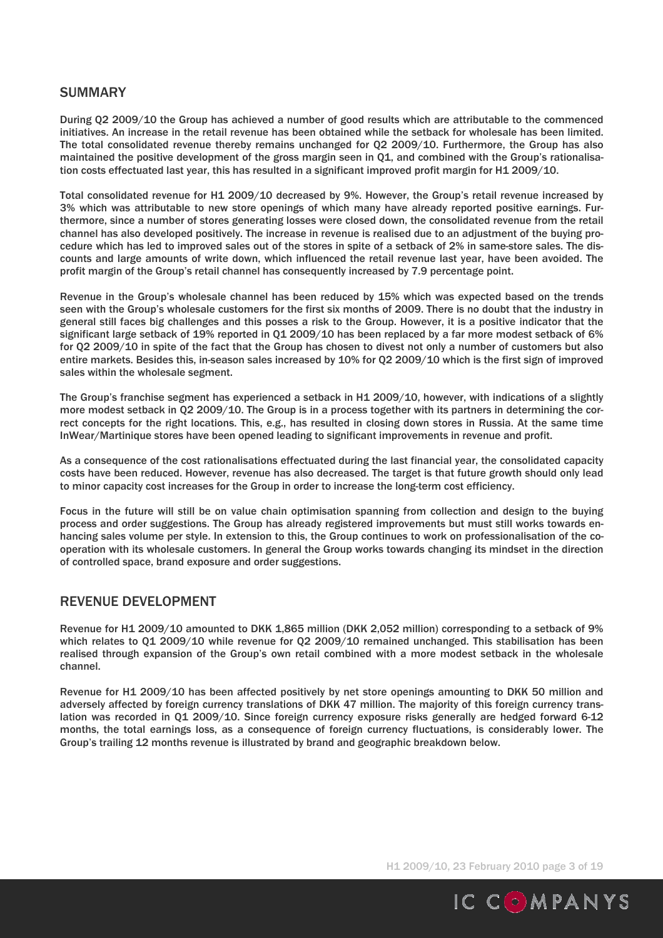## SUMMARY

During Q2 2009/10 the Group has achieved a number of good results which are attributable to the commenced initiatives. An increase in the retail revenue has been obtained while the setback for wholesale has been limited. The total consolidated revenue thereby remains unchanged for Q2 2009/10. Furthermore, the Group has also maintained the positive development of the gross margin seen in Q1, and combined with the Group's rationalisation costs effectuated last year, this has resulted in a significant improved profit margin for H1 2009/10.

Total consolidated revenue for H1 2009/10 decreased by 9%. However, the Group's retail revenue increased by 3% which was attributable to new store openings of which many have already reported positive earnings. Furthermore, since a number of stores generating losses were closed down, the consolidated revenue from the retail channel has also developed positively. The increase in revenue is realised due to an adjustment of the buying procedure which has led to improved sales out of the stores in spite of a setback of 2% in same-store sales. The discounts and large amounts of write down, which influenced the retail revenue last year, have been avoided. The profit margin of the Group's retail channel has consequently increased by 7.9 percentage point.

Revenue in the Group's wholesale channel has been reduced by 15% which was expected based on the trends seen with the Group's wholesale customers for the first six months of 2009. There is no doubt that the industry in general still faces big challenges and this posses a risk to the Group. However, it is a positive indicator that the significant large setback of 19% reported in Q1 2009/10 has been replaced by a far more modest setback of 6% for Q2 2009/10 in spite of the fact that the Group has chosen to divest not only a number of customers but also entire markets. Besides this, in-season sales increased by 10% for Q2 2009/10 which is the first sign of improved sales within the wholesale segment.

The Group's franchise segment has experienced a setback in H1 2009/10, however, with indications of a slightly more modest setback in Q2 2009/10. The Group is in a process together with its partners in determining the correct concepts for the right locations. This, e.g., has resulted in closing down stores in Russia. At the same time InWear/Martinique stores have been opened leading to significant improvements in revenue and profit.

As a consequence of the cost rationalisations effectuated during the last financial year, the consolidated capacity costs have been reduced. However, revenue has also decreased. The target is that future growth should only lead to minor capacity cost increases for the Group in order to increase the long-term cost efficiency.

Focus in the future will still be on value chain optimisation spanning from collection and design to the buying process and order suggestions. The Group has already registered improvements but must still works towards enhancing sales volume per style. In extension to this, the Group continues to work on professionalisation of the cooperation with its wholesale customers. In general the Group works towards changing its mindset in the direction of controlled space, brand exposure and order suggestions.

## REVENUE DEVELOPMENT

Revenue for H1 2009/10 amounted to DKK 1,865 million (DKK 2,052 million) corresponding to a setback of 9% which relates to 01 2009/10 while revenue for 02 2009/10 remained unchanged. This stabilisation has been realised through expansion of the Group's own retail combined with a more modest setback in the wholesale channel.

Revenue for H1 2009/10 has been affected positively by net store openings amounting to DKK 50 million and adversely affected by foreign currency translations of DKK 47 million. The majority of this foreign currency translation was recorded in Q1 2009/10. Since foreign currency exposure risks generally are hedged forward 6-12 months, the total earnings loss, as a consequence of foreign currency fluctuations, is considerably lower. The Group's trailing 12 months revenue is illustrated by brand and geographic breakdown below.

H1 2009/10, 23 February 2010 page 3 of 19

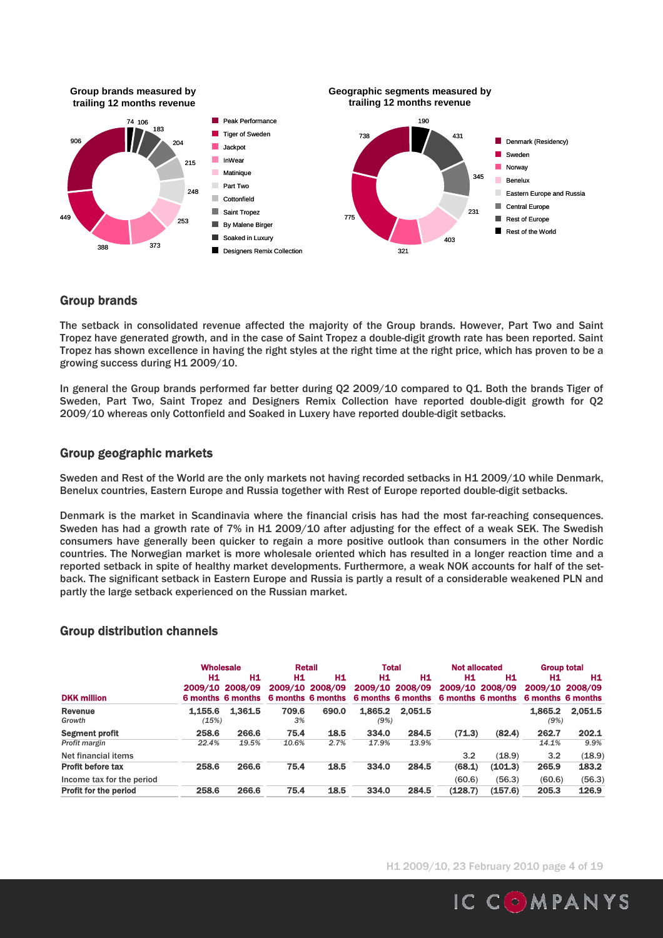

### Group brands

The setback in consolidated revenue affected the majority of the Group brands. However, Part Two and Saint Tropez have generated growth, and in the case of Saint Tropez a double-digit growth rate has been reported. Saint Tropez has shown excellence in having the right styles at the right time at the right price, which has proven to be a growing success during H1 2009/10.

In general the Group brands performed far better during Q2 2009/10 compared to Q1. Both the brands Tiger of Sweden, Part Two, Saint Tropez and Designers Remix Collection have reported double-digit growth for Q2 2009/10 whereas only Cottonfield and Soaked in Luxery have reported double-digit setbacks.

## Group geographic markets

Sweden and Rest of the World are the only markets not having recorded setbacks in H1 2009/10 while Denmark, Benelux countries, Eastern Europe and Russia together with Rest of Europe reported double-digit setbacks.

Denmark is the market in Scandinavia where the financial crisis has had the most far-reaching consequences. Sweden has had a growth rate of 7% in H1 2009/10 after adjusting for the effect of a weak SEK. The Swedish consumers have generally been quicker to regain a more positive outlook than consumers in the other Nordic countries. The Norwegian market is more wholesale oriented which has resulted in a longer reaction time and a reported setback in spite of healthy market developments. Furthermore, a weak NOK accounts for half of the setback. The significant setback in Eastern Europe and Russia is partly a result of a considerable weakened PLN and partly the large setback experienced on the Russian market.

## Group distribution channels

|                              | <b>Wholesale</b> |                                                   |             | <b>Retail</b>                              | <b>Total</b>    |                                            |         |                                            | <b>Not allocated</b><br><b>Group total</b> |                       |  |
|------------------------------|------------------|---------------------------------------------------|-------------|--------------------------------------------|-----------------|--------------------------------------------|---------|--------------------------------------------|--------------------------------------------|-----------------------|--|
| <b>DKK million</b>           | H1               | <b>H1</b><br>2009/10 2008/09<br>6 months 6 months | H1          | Н1<br>2009/10 2008/09<br>6 months 6 months | Н1              | H1<br>2009/10 2008/09<br>6 months 6 months | Н1      | Н1<br>2009/10 2008/09<br>6 months 6 months | Н1<br>6 months 6 months                    | H1<br>2009/10 2008/09 |  |
| <b>Revenue</b><br>Growth     | 1.155.6<br>(15%) | 1.361.5                                           | 709.6<br>3% | 690.0                                      | 1,865.2<br>(9%) | 2.051.5                                    |         |                                            | 1.865.2<br>(9%)                            | 2.051.5               |  |
| <b>Segment profit</b>        | 258.6            | 266.6                                             | 75.4        | 18.5                                       | 334.0           | 284.5                                      | (71.3)  | (82.4)                                     | 262.7                                      | 202.1                 |  |
| Profit margin                | 22.4%            | 19.5%                                             | 10.6%       | 2.7%                                       | 17.9%           | 13.9%                                      |         |                                            | 14.1%                                      | 9.9%                  |  |
| Net financial items          |                  |                                                   |             |                                            |                 |                                            | 3.2     | (18.9)                                     | 3.2                                        | (18.9)                |  |
| <b>Profit before tax</b>     | 258.6            | 266.6                                             | 75.4        | 18.5                                       | 334.0           | 284.5                                      | (68.1)  | (101.3)                                    | 265.9                                      | 183.2                 |  |
| Income tax for the period    |                  |                                                   |             |                                            |                 |                                            | (60.6)  | (56.3)                                     | (60.6)                                     | (56.3)                |  |
| <b>Profit for the period</b> | 258.6            | 266.6                                             | 75.4        | 18.5                                       | 334.0           | 284.5                                      | (128.7) | (157.6)                                    | 205.3                                      | 126.9                 |  |

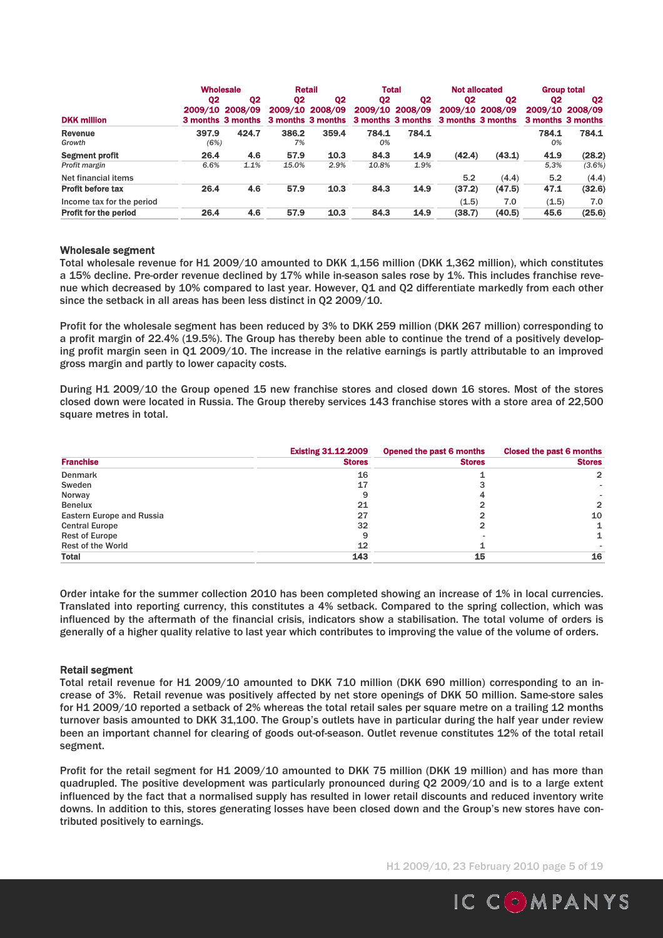|                           | <b>Wholesale</b> |                              |                | Retail                               | <b>Total</b> |                 | <b>Not allocated</b>                |                 | <b>Group total</b> |                 |
|---------------------------|------------------|------------------------------|----------------|--------------------------------------|--------------|-----------------|-------------------------------------|-----------------|--------------------|-----------------|
|                           | Q2               | Q <sub>2</sub>               | Q <sub>2</sub> | Q <sub>2</sub>                       | Q2           | Q <sub>2</sub>  | Q2                                  | Q2              | Q2                 | Q2              |
| <b>DKK million</b>        | 2009/10          | 2008/09<br>3 months 3 months |                | 2009/10 2008/09<br>3 months 3 months |              | 2009/10 2008/09 | 3 months 3 months 3 months 3 months | 2009/10 2008/09 | 3 months 3 months  | 2009/10 2008/09 |
| <b>Revenue</b><br>Growth  | 397.9<br>(6%)    | 424.7                        | 386.2<br>7%    | 359.4                                | 784.1<br>0%  | 784.1           |                                     |                 | 784.1<br>0%        | 784.1           |
| <b>Segment profit</b>     | 26.4             | 4.6                          | 57.9           | 10.3                                 | 84.3         | 14.9            | (42.4)                              | (43.1)          | 41.9               | (28.2)          |
| Profit margin             | 6.6%             | 1.1%                         | 15.0%          | 2.9%                                 | 10.8%        | 1.9%            |                                     |                 | 5.3%               | (3.6%)          |
| Net financial items       |                  |                              |                |                                      |              |                 | 5.2                                 | (4.4)           | 5.2                | (4.4)           |
| <b>Profit before tax</b>  | 26.4             | 4.6                          | 57.9           | 10.3                                 | 84.3         | 14.9            | (37.2)                              | (47.5)          | 47.1               | (32.6)          |
| Income tax for the period |                  |                              |                |                                      |              |                 | (1.5)                               | 7.0             | (1.5)              | 7.0             |
| Profit for the period     | 26.4             | 4.6                          | 57.9           | 10.3                                 | 84.3         | 14.9            | (38.7)                              | (40.5)          | 45.6               | (25.6)          |

#### Wholesale segment

Total wholesale revenue for H1 2009/10 amounted to DKK 1,156 million (DKK 1,362 million), which constitutes a 15% decline. Pre-order revenue declined by 17% while in-season sales rose by 1%. This includes franchise revenue which decreased by 10% compared to last year. However, Q1 and Q2 differentiate markedly from each other since the setback in all areas has been less distinct in Q2 2009/10.

Profit for the wholesale segment has been reduced by 3% to DKK 259 million (DKK 267 million) corresponding to a profit margin of 22.4% (19.5%). The Group has thereby been able to continue the trend of a positively developing profit margin seen in Q1 2009/10. The increase in the relative earnings is partly attributable to an improved gross margin and partly to lower capacity costs.

During H1 2009/10 the Group opened 15 new franchise stores and closed down 16 stores. Most of the stores closed down were located in Russia. The Group thereby services 143 franchise stores with a store area of 22,500 square metres in total.

|                                  | <b>Existing 31.12.2009</b> | Opened the past 6 months | Closed the past 6 months |
|----------------------------------|----------------------------|--------------------------|--------------------------|
| <b>Franchise</b>                 | <b>Stores</b>              | <b>Stores</b>            | <b>Stores</b>            |
| Denmark                          | 16                         |                          |                          |
| Sweden                           | 17                         |                          |                          |
| Norway                           | 9                          |                          |                          |
| <b>Benelux</b>                   | 21                         |                          | $\mathbf{p}$             |
| <b>Eastern Europe and Russia</b> | 27                         |                          | 10                       |
| <b>Central Europe</b>            | 32                         |                          |                          |
| <b>Rest of Europe</b>            | 9                          |                          |                          |
| <b>Rest of the World</b>         | 12                         |                          |                          |
| <b>Total</b>                     | 143                        | 15                       | 16                       |

Order intake for the summer collection 2010 has been completed showing an increase of 1% in local currencies. Translated into reporting currency, this constitutes a 4% setback. Compared to the spring collection, which was influenced by the aftermath of the financial crisis, indicators show a stabilisation. The total volume of orders is generally of a higher quality relative to last year which contributes to improving the value of the volume of orders.

#### Retail segment

Total retail revenue for H1 2009/10 amounted to DKK 710 million (DKK 690 million) corresponding to an increase of 3%. Retail revenue was positively affected by net store openings of DKK 50 million. Same-store sales for H1 2009/10 reported a setback of 2% whereas the total retail sales per square metre on a trailing 12 months turnover basis amounted to DKK 31,100. The Group's outlets have in particular during the half year under review been an important channel for clearing of goods out-of-season. Outlet revenue constitutes 12% of the total retail segment.

Profit for the retail segment for H1 2009/10 amounted to DKK 75 million (DKK 19 million) and has more than quadrupled. The positive development was particularly pronounced during Q2 2009/10 and is to a large extent influenced by the fact that a normalised supply has resulted in lower retail discounts and reduced inventory write downs. In addition to this, stores generating losses have been closed down and the Group's new stores have contributed positively to earnings.

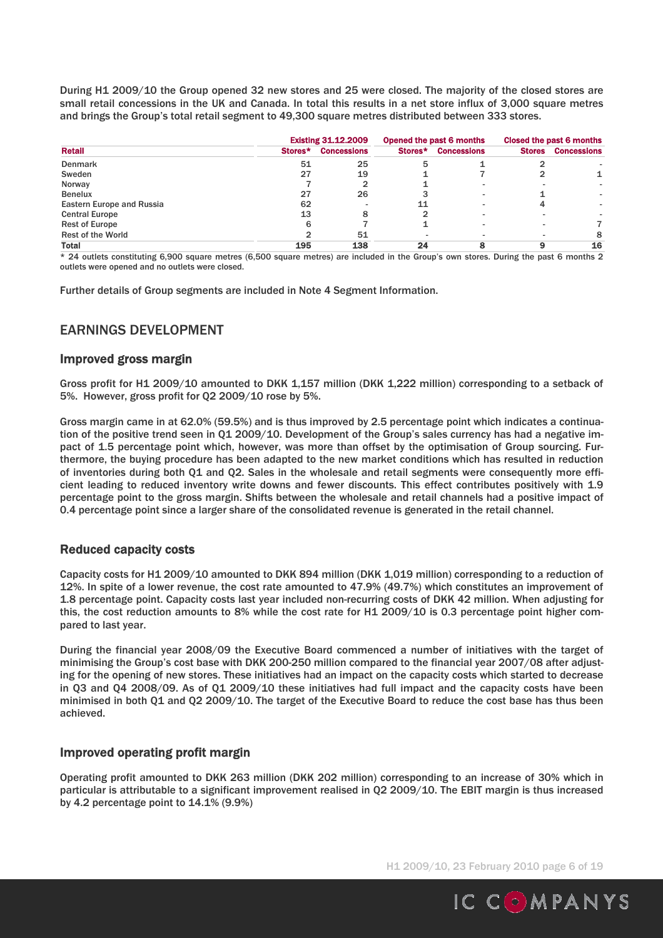During H1 2009/10 the Group opened 32 new stores and 25 were closed. The majority of the closed stores are small retail concessions in the UK and Canada. In total this results in a net store influx of 3,000 square metres and brings the Group's total retail segment to 49,300 square metres distributed between 333 stores.

|                                  |         | <b>Existing 31.12.2009</b> |         | Opened the past 6 months |               | Closed the past 6 months |
|----------------------------------|---------|----------------------------|---------|--------------------------|---------------|--------------------------|
| <b>Retail</b>                    | Stores* | <b>Concessions</b>         | Stores* | <b>Concessions</b>       | <b>Stores</b> | <b>Concessions</b>       |
| <b>Denmark</b>                   | 51      | 25                         | 5       |                          |               |                          |
| Sweden                           | 27      | 19                         |         |                          |               |                          |
| Norway                           |         | 2                          |         |                          |               |                          |
| <b>Benelux</b>                   | 27      | 26                         |         |                          |               |                          |
| <b>Eastern Europe and Russia</b> | 62      |                            |         |                          |               |                          |
| <b>Central Europe</b>            | 13      | 8                          |         |                          |               |                          |
| <b>Rest of Europe</b>            | 6       |                            |         |                          |               |                          |
| <b>Rest of the World</b>         |         | 51                         |         |                          |               | 8                        |
| <b>Total</b>                     | 195     | 138                        | 24      |                          |               | 16                       |

\* 24 outlets constituting 6,900 square metres (6,500 square metres) are included in the Group's own stores. During the past 6 months 2 outlets were opened and no outlets were closed.

Further details of Group segments are included in Note 4 Segment Information.

## EARNINGS DEVELOPMENT

### Improved gross margin

Gross profit for H1 2009/10 amounted to DKK 1,157 million (DKK 1,222 million) corresponding to a setback of 5%. However, gross profit for Q2 2009/10 rose by 5%.

Gross margin came in at 62.0% (59.5%) and is thus improved by 2.5 percentage point which indicates a continuation of the positive trend seen in Q1 2009/10. Development of the Group's sales currency has had a negative impact of 1.5 percentage point which, however, was more than offset by the optimisation of Group sourcing. Furthermore, the buying procedure has been adapted to the new market conditions which has resulted in reduction of inventories during both Q1 and Q2. Sales in the wholesale and retail segments were consequently more efficient leading to reduced inventory write downs and fewer discounts. This effect contributes positively with 1.9 percentage point to the gross margin. Shifts between the wholesale and retail channels had a positive impact of 0.4 percentage point since a larger share of the consolidated revenue is generated in the retail channel.

### Reduced capacity costs

Capacity costs for H1 2009/10 amounted to DKK 894 million (DKK 1,019 million) corresponding to a reduction of 12%. In spite of a lower revenue, the cost rate amounted to 47.9% (49.7%) which constitutes an improvement of 1.8 percentage point. Capacity costs last year included non-recurring costs of DKK 42 million. When adjusting for this, the cost reduction amounts to 8% while the cost rate for H1 2009/10 is 0.3 percentage point higher compared to last year.

During the financial year 2008/09 the Executive Board commenced a number of initiatives with the target of minimising the Group's cost base with DKK 200-250 million compared to the financial year 2007/08 after adjusting for the opening of new stores. These initiatives had an impact on the capacity costs which started to decrease in Q3 and Q4 2008/09. As of Q1 2009/10 these initiatives had full impact and the capacity costs have been minimised in both Q1 and Q2 2009/10. The target of the Executive Board to reduce the cost base has thus been achieved.

### Improved operating profit margin

Operating profit amounted to DKK 263 million (DKK 202 million) corresponding to an increase of 30% which in particular is attributable to a significant improvement realised in Q2 2009/10. The EBIT margin is thus increased by 4.2 percentage point to 14.1% (9.9%)

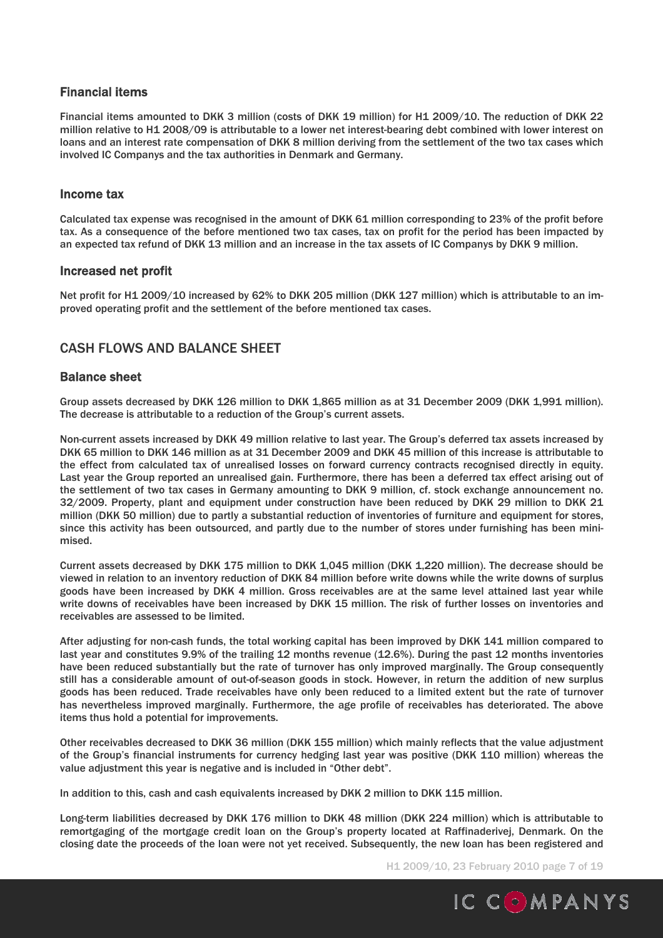## Financial items

Financial items amounted to DKK 3 million (costs of DKK 19 million) for H1 2009/10. The reduction of DKK 22 million relative to H1 2008/09 is attributable to a lower net interest-bearing debt combined with lower interest on loans and an interest rate compensation of DKK 8 million deriving from the settlement of the two tax cases which involved IC Companys and the tax authorities in Denmark and Germany.

## Income tax

Calculated tax expense was recognised in the amount of DKK 61 million corresponding to 23% of the profit before tax. As a consequence of the before mentioned two tax cases, tax on profit for the period has been impacted by an expected tax refund of DKK 13 million and an increase in the tax assets of IC Companys by DKK 9 million.

### Increased net profit

Net profit for H1 2009/10 increased by 62% to DKK 205 million (DKK 127 million) which is attributable to an improved operating profit and the settlement of the before mentioned tax cases.

## CASH FLOWS AND BALANCE SHEET

### Balance sheet

Group assets decreased by DKK 126 million to DKK 1,865 million as at 31 December 2009 (DKK 1,991 million). The decrease is attributable to a reduction of the Group's current assets.

Non-current assets increased by DKK 49 million relative to last year. The Group's deferred tax assets increased by DKK 65 million to DKK 146 million as at 31 December 2009 and DKK 45 million of this increase is attributable to the effect from calculated tax of unrealised losses on forward currency contracts recognised directly in equity. Last year the Group reported an unrealised gain. Furthermore, there has been a deferred tax effect arising out of the settlement of two tax cases in Germany amounting to DKK 9 million, cf. stock exchange announcement no. 32/2009. Property, plant and equipment under construction have been reduced by DKK 29 million to DKK 21 million (DKK 50 million) due to partly a substantial reduction of inventories of furniture and equipment for stores, since this activity has been outsourced, and partly due to the number of stores under furnishing has been minimised.

Current assets decreased by DKK 175 million to DKK 1,045 million (DKK 1,220 million). The decrease should be viewed in relation to an inventory reduction of DKK 84 million before write downs while the write downs of surplus goods have been increased by DKK 4 million. Gross receivables are at the same level attained last year while write downs of receivables have been increased by DKK 15 million. The risk of further losses on inventories and receivables are assessed to be limited.

After adjusting for non-cash funds, the total working capital has been improved by DKK 141 million compared to last year and constitutes 9.9% of the trailing 12 months revenue (12.6%). During the past 12 months inventories have been reduced substantially but the rate of turnover has only improved marginally. The Group consequently still has a considerable amount of out-of-season goods in stock. However, in return the addition of new surplus goods has been reduced. Trade receivables have only been reduced to a limited extent but the rate of turnover has nevertheless improved marginally. Furthermore, the age profile of receivables has deteriorated. The above items thus hold a potential for improvements.

Other receivables decreased to DKK 36 million (DKK 155 million) which mainly reflects that the value adjustment of the Group's financial instruments for currency hedging last year was positive (DKK 110 million) whereas the value adjustment this year is negative and is included in "Other debt".

In addition to this, cash and cash equivalents increased by DKK 2 million to DKK 115 million.

Long-term liabilities decreased by DKK 176 million to DKK 48 million (DKK 224 million) which is attributable to remortgaging of the mortgage credit loan on the Group's property located at Raffinaderivej, Denmark. On the closing date the proceeds of the loan were not yet received. Subsequently, the new loan has been registered and

H1 2009/10, 23 February 2010 page 7 of 19

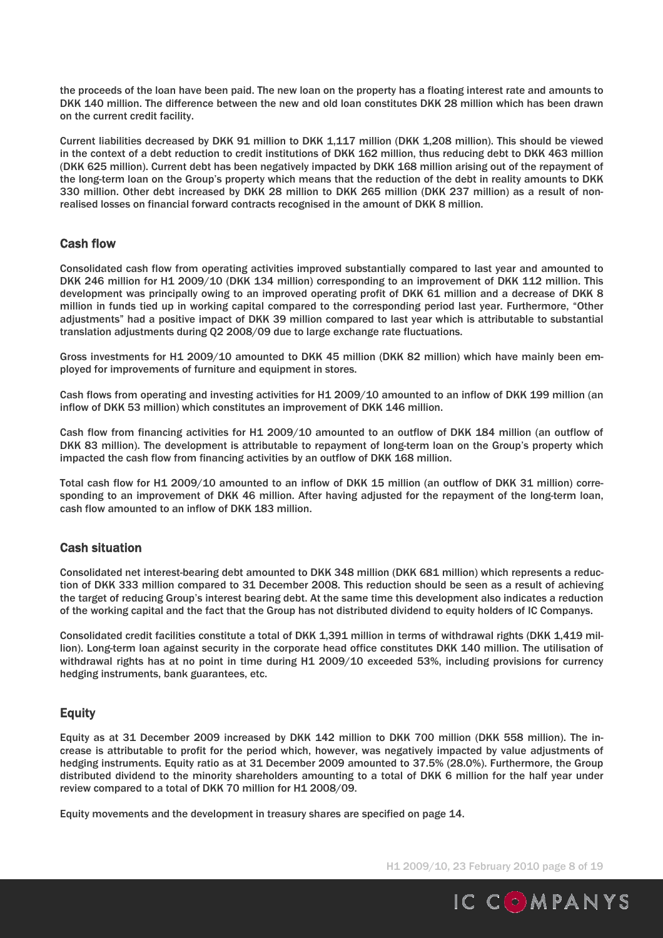the proceeds of the loan have been paid. The new loan on the property has a floating interest rate and amounts to DKK 140 million. The difference between the new and old loan constitutes DKK 28 million which has been drawn on the current credit facility.

Current liabilities decreased by DKK 91 million to DKK 1,117 million (DKK 1,208 million). This should be viewed in the context of a debt reduction to credit institutions of DKK 162 million, thus reducing debt to DKK 463 million (DKK 625 million). Current debt has been negatively impacted by DKK 168 million arising out of the repayment of the long-term loan on the Group's property which means that the reduction of the debt in reality amounts to DKK 330 million. Other debt increased by DKK 28 million to DKK 265 million (DKK 237 million) as a result of nonrealised losses on financial forward contracts recognised in the amount of DKK 8 million.

## Cash flow

Consolidated cash flow from operating activities improved substantially compared to last year and amounted to DKK 246 million for H1 2009/10 (DKK 134 million) corresponding to an improvement of DKK 112 million. This development was principally owing to an improved operating profit of DKK 61 million and a decrease of DKK 8 million in funds tied up in working capital compared to the corresponding period last year. Furthermore, "Other adjustments" had a positive impact of DKK 39 million compared to last year which is attributable to substantial translation adjustments during Q2 2008/09 due to large exchange rate fluctuations.

Gross investments for H1 2009/10 amounted to DKK 45 million (DKK 82 million) which have mainly been employed for improvements of furniture and equipment in stores.

Cash flows from operating and investing activities for H1 2009/10 amounted to an inflow of DKK 199 million (an inflow of DKK 53 million) which constitutes an improvement of DKK 146 million.

Cash flow from financing activities for H1 2009/10 amounted to an outflow of DKK 184 million (an outflow of DKK 83 million). The development is attributable to repayment of long-term loan on the Group's property which impacted the cash flow from financing activities by an outflow of DKK 168 million.

Total cash flow for H1 2009/10 amounted to an inflow of DKK 15 million (an outflow of DKK 31 million) corresponding to an improvement of DKK 46 million. After having adjusted for the repayment of the long-term loan, cash flow amounted to an inflow of DKK 183 million.

### Cash situation

Consolidated net interest-bearing debt amounted to DKK 348 million (DKK 681 million) which represents a reduction of DKK 333 million compared to 31 December 2008. This reduction should be seen as a result of achieving the target of reducing Group's interest bearing debt. At the same time this development also indicates a reduction of the working capital and the fact that the Group has not distributed dividend to equity holders of IC Companys.

Consolidated credit facilities constitute a total of DKK 1,391 million in terms of withdrawal rights (DKK 1,419 million). Long-term loan against security in the corporate head office constitutes DKK 140 million. The utilisation of withdrawal rights has at no point in time during H1 2009/10 exceeded 53%, including provisions for currency hedging instruments, bank guarantees, etc.

## Equity

Equity as at 31 December 2009 increased by DKK 142 million to DKK 700 million (DKK 558 million). The increase is attributable to profit for the period which, however, was negatively impacted by value adjustments of hedging instruments. Equity ratio as at 31 December 2009 amounted to 37.5% (28.0%). Furthermore, the Group distributed dividend to the minority shareholders amounting to a total of DKK 6 million for the half year under review compared to a total of DKK 70 million for H1 2008/09.

Equity movements and the development in treasury shares are specified on page 14.

H1 2009/10, 23 February 2010 page 8 of 19

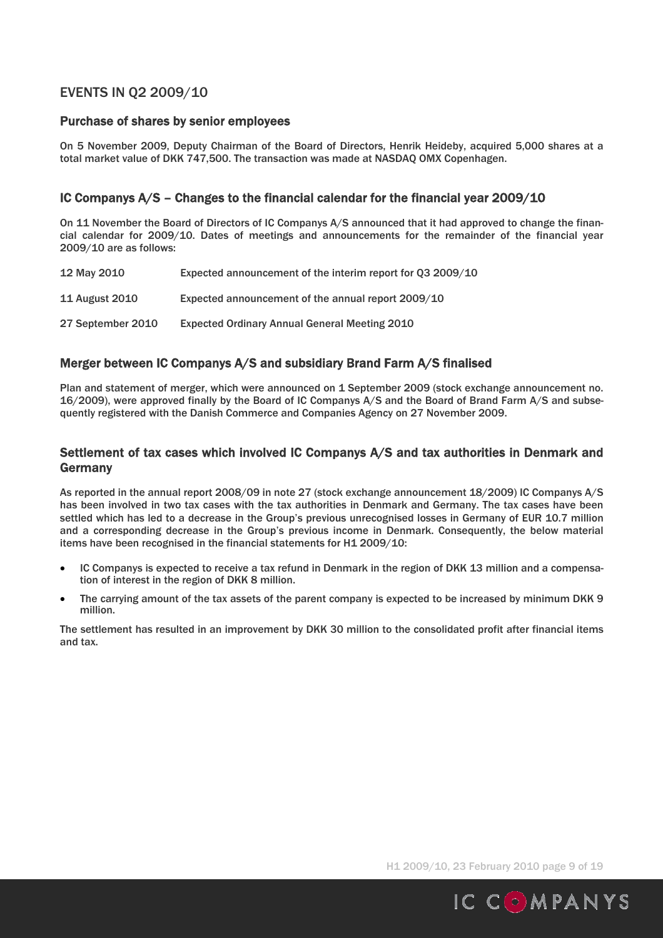## EVENTS IN Q2 2009/10

## Purchase of shares by senior employees

On 5 November 2009, Deputy Chairman of the Board of Directors, Henrik Heideby, acquired 5,000 shares at a total market value of DKK 747,500. The transaction was made at NASDAQ OMX Copenhagen.

## IC Companys A/S – Changes to the financial calendar for the financial year 2009/10

On 11 November the Board of Directors of IC Companys A/S announced that it had approved to change the financial calendar for 2009/10. Dates of meetings and announcements for the remainder of the financial year 2009/10 are as follows:

| 12 May 2010           | Expected announcement of the interim report for Q3 2009/10 |
|-----------------------|------------------------------------------------------------|
| <b>11 August 2010</b> | Expected announcement of the annual report 2009/10         |
| 27 September 2010     | <b>Expected Ordinary Annual General Meeting 2010</b>       |

## Merger between IC Companys A/S and subsidiary Brand Farm A/S finalised

Plan and statement of merger, which were announced on 1 September 2009 (stock exchange announcement no. 16/2009), were approved finally by the Board of IC Companys A/S and the Board of Brand Farm A/S and subsequently registered with the Danish Commerce and Companies Agency on 27 November 2009.

## Settlement of tax cases which involved IC Companys A/S and tax authorities in Denmark and Germany

As reported in the annual report 2008/09 in note 27 (stock exchange announcement 18/2009) IC Companys A/S has been involved in two tax cases with the tax authorities in Denmark and Germany. The tax cases have been settled which has led to a decrease in the Group's previous unrecognised losses in Germany of EUR 10.7 million and a corresponding decrease in the Group's previous income in Denmark. Consequently, the below material items have been recognised in the financial statements for H1 2009/10:

- IC Companys is expected to receive a tax refund in Denmark in the region of DKK 13 million and a compensation of interest in the region of DKK 8 million.
- The carrying amount of the tax assets of the parent company is expected to be increased by minimum DKK 9 million.

The settlement has resulted in an improvement by DKK 30 million to the consolidated profit after financial items and tax.

H1 2009/10, 23 February 2010 page 9 of 19

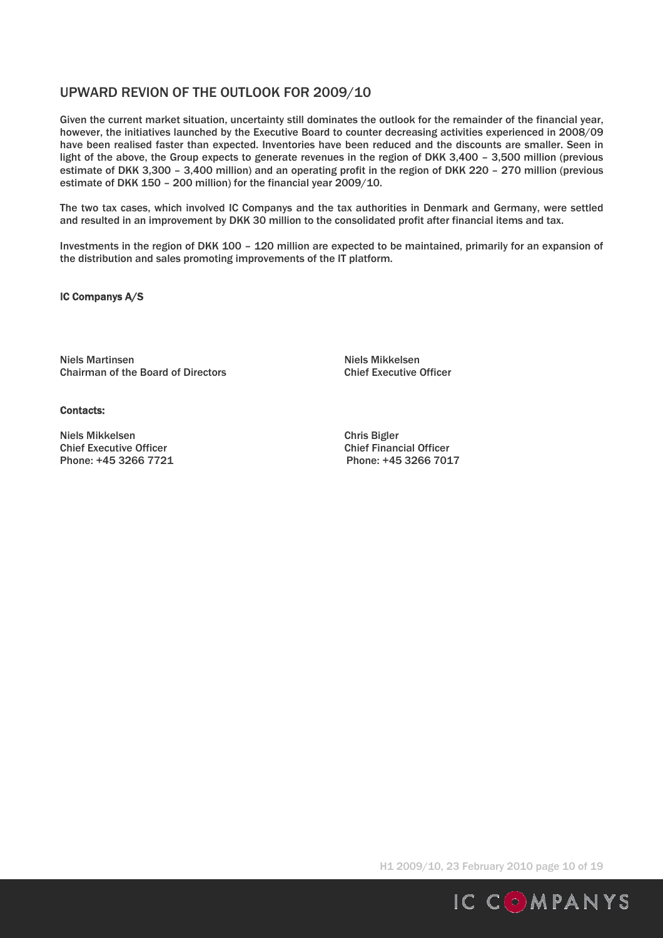## UPWARD REVION OF THE OUTLOOK FOR 2009/10

Given the current market situation, uncertainty still dominates the outlook for the remainder of the financial year, however, the initiatives launched by the Executive Board to counter decreasing activities experienced in 2008/09 have been realised faster than expected. Inventories have been reduced and the discounts are smaller. Seen in light of the above, the Group expects to generate revenues in the region of DKK 3,400 – 3,500 million (previous estimate of DKK 3,300 – 3,400 million) and an operating profit in the region of DKK 220 – 270 million (previous estimate of DKK 150 – 200 million) for the financial year 2009/10.

The two tax cases, which involved IC Companys and the tax authorities in Denmark and Germany, were settled and resulted in an improvement by DKK 30 million to the consolidated profit after financial items and tax.

Investments in the region of DKK 100 – 120 million are expected to be maintained, primarily for an expansion of the distribution and sales promoting improvements of the IT platform.

#### IC Companys A/S

Niels Martinsen Niels Mikkelsen Chairman of the Board of Directors Chairman of the Board of Directors Chief Executive Officer

#### Contacts:

Niels Mikkelsen Chris Bigler Chief Executive Officer<br>
Phone: +45 3266 7721<br>
Phone: +45 3266 7017 Phone: +45 3266 7721

H1 2009/10, 23 February 2010 page 10 of 19

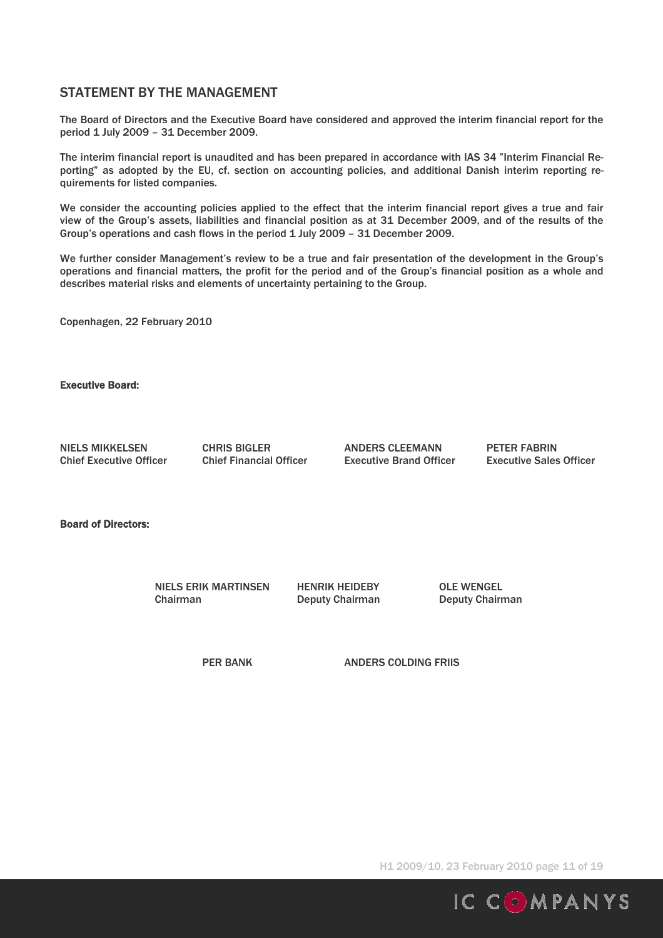## STATEMENT BY THE MANAGEMENT

The Board of Directors and the Executive Board have considered and approved the interim financial report for the period 1 July 2009 – 31 December 2009.

The interim financial report is unaudited and has been prepared in accordance with IAS 34 "Interim Financial Reporting" as adopted by the EU, cf. section on accounting policies, and additional Danish interim reporting requirements for listed companies.

We consider the accounting policies applied to the effect that the interim financial report gives a true and fair view of the Group's assets, liabilities and financial position as at 31 December 2009, and of the results of the Group's operations and cash flows in the period 1 July 2009 – 31 December 2009.

We further consider Management's review to be a true and fair presentation of the development in the Group's operations and financial matters, the profit for the period and of the Group's financial position as a whole and describes material risks and elements of uncertainty pertaining to the Group.

Copenhagen, 22 February 2010

Executive Board:

NIELS MIKKELSEN CHRIS BIGLER ANDERS CLEEMANN PETER FABRIN

Chief Executive Officer Chief Financial Officer Executive Brand Officer Executive Sales Officer

Board of Directors:

 NIELS ERIK MARTINSEN HENRIK HEIDEBY OLE WENGEL Chairman Deputy Chairman Deputy Chairman

PER BANK ANDERS COLDING FRIIS

H1 2009/10, 23 February 2010 page 11 of 19

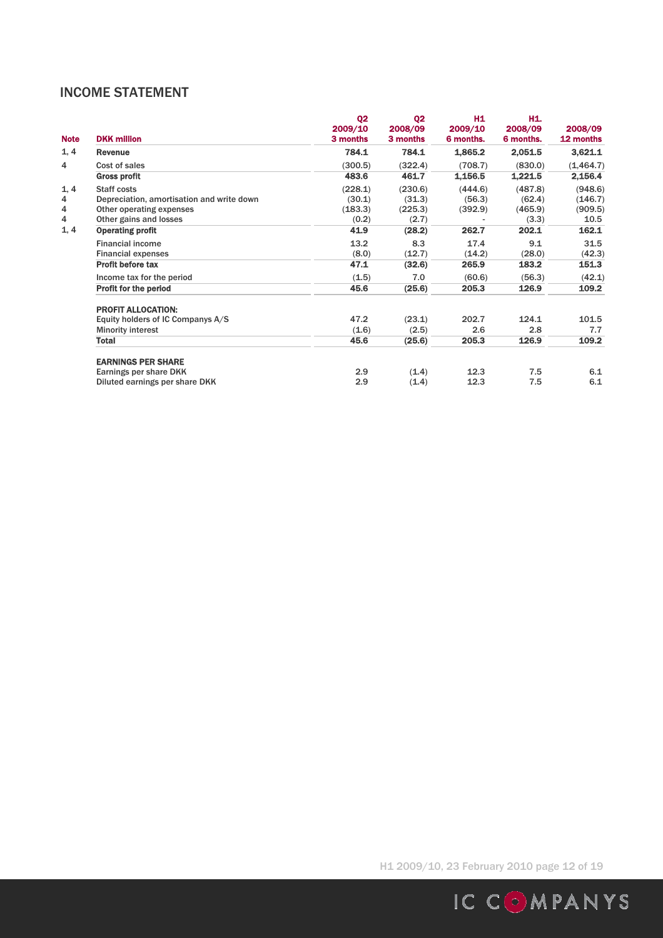## INCOME STATEMENT

| <b>Note</b> | <b>DKK million</b>                        | Q <sub>2</sub><br>2009/10<br>3 months | Q <sub>2</sub><br>2008/09<br>3 months | H <sub>1</sub><br>2009/10<br>6 months. | H1.<br>2008/09<br>6 months. | 2008/09<br>12 months |
|-------------|-------------------------------------------|---------------------------------------|---------------------------------------|----------------------------------------|-----------------------------|----------------------|
| 1, 4        | <b>Revenue</b>                            | 784.1                                 | 784.1                                 | 1,865.2                                | 2,051.5                     | 3,621.1              |
| 4           | Cost of sales                             | (300.5)                               | (322.4)                               | (708.7)                                | (830.0)                     | (1, 464.7)           |
|             | <b>Gross profit</b>                       | 483.6                                 | 461.7                                 | 1,156.5                                | 1,221.5                     | 2,156.4              |
| 1, 4        | Staff costs                               | (228.1)                               | (230.6)                               | (444.6)                                | (487.8)                     | (948.6)              |
| 4           | Depreciation, amortisation and write down | (30.1)                                | (31.3)                                | (56.3)                                 | (62.4)                      | (146.7)              |
| 4           | Other operating expenses                  | (183.3)                               | (225.3)                               | (392.9)                                | (465.9)                     | (909.5)              |
| 4           | Other gains and losses                    | (0.2)                                 | (2.7)                                 |                                        | (3.3)                       | 10.5                 |
| 1, 4        | <b>Operating profit</b>                   | 41.9                                  | (28.2)                                | 262.7                                  | 202.1                       | 162.1                |
|             | <b>Financial income</b>                   | 13.2                                  | 8.3                                   | 17.4                                   | 9.1                         | 31.5                 |
|             | <b>Financial expenses</b>                 | (8.0)                                 | (12.7)                                | (14.2)                                 | (28.0)                      | (42.3)               |
|             | <b>Profit before tax</b>                  | 47.1                                  | (32.6)                                | 265.9                                  | 183.2                       | 151.3                |
|             | Income tax for the period                 | (1.5)                                 | 7.0                                   | (60.6)                                 | (56.3)                      | (42.1)               |
|             | <b>Profit for the period</b>              | 45.6                                  | (25.6)                                | 205.3                                  | 126.9                       | 109.2                |
|             | <b>PROFIT ALLOCATION:</b>                 |                                       |                                       |                                        |                             |                      |
|             | Equity holders of IC Companys A/S         | 47.2                                  | (23.1)                                | 202.7                                  | 124.1                       | 101.5                |
|             | <b>Minority interest</b>                  | (1.6)                                 | (2.5)                                 | 2.6                                    | 2.8                         | 7.7                  |
|             | <b>Total</b>                              | 45.6                                  | (25.6)                                | 205.3                                  | 126.9                       | 109.2                |
|             | <b>EARNINGS PER SHARE</b>                 |                                       |                                       |                                        |                             |                      |
|             | Earnings per share DKK                    | 2.9                                   | (1.4)                                 | 12.3                                   | 7.5                         | 6.1                  |
|             | Diluted earnings per share DKK            | 2.9                                   | (1.4)                                 | 12.3                                   | 7.5                         | 6.1                  |

H1 2009/10, 23 February 2010 page 12 of 19

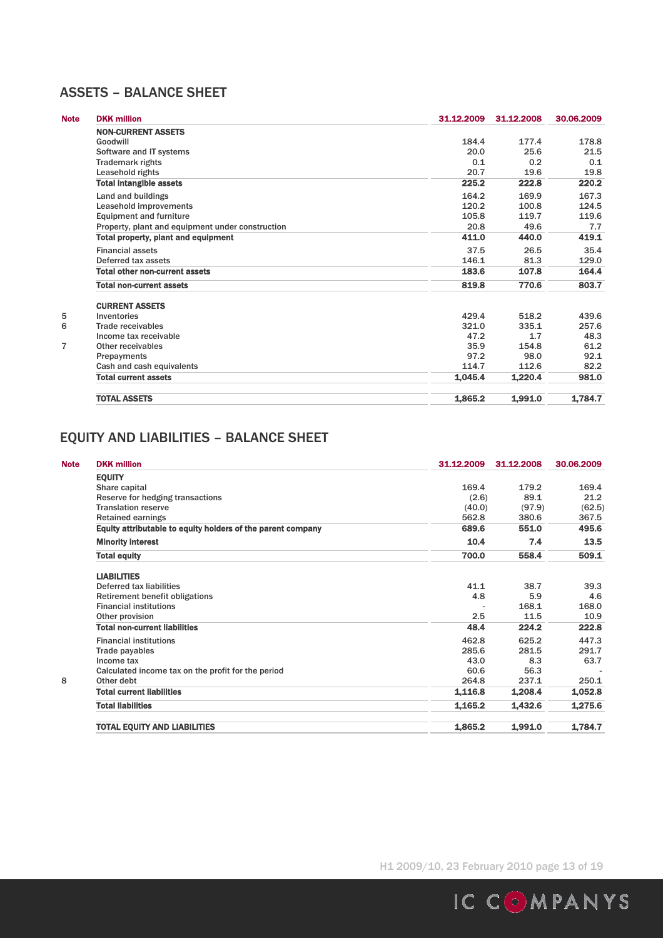## ASSETS – BALANCE SHEET

| <b>Note</b> | <b>DKK million</b>                               | 31.12.2009 | 31.12.2008 | 30.06.2009 |
|-------------|--------------------------------------------------|------------|------------|------------|
|             | <b>NON-CURRENT ASSETS</b>                        |            |            |            |
|             | Goodwill                                         | 184.4      | 177.4      | 178.8      |
|             | Software and IT systems                          | 20.0       | 25.6       | 21.5       |
|             | <b>Trademark rights</b>                          | 0.1        | 0.2        | 0.1        |
|             | Leasehold rights                                 | 20.7       | 19.6       | 19.8       |
|             | <b>Total intangible assets</b>                   | 225.2      | 222.8      | 220.2      |
|             | Land and buildings                               | 164.2      | 169.9      | 167.3      |
|             | Leasehold improvements                           | 120.2      | 100.8      | 124.5      |
|             | <b>Equipment and furniture</b>                   | 105.8      | 119.7      | 119.6      |
|             | Property, plant and equipment under construction | 20.8       | 49.6       | 7.7        |
|             | <b>Total property, plant and equipment</b>       | 411.0      | 440.0      | 419.1      |
|             | <b>Financial assets</b>                          | 37.5       | 26.5       | 35.4       |
|             | Deferred tax assets                              | 146.1      | 81.3       | 129.0      |
|             | <b>Total other non-current assets</b>            | 183.6      | 107.8      | 164.4      |
|             | <b>Total non-current assets</b>                  | 819.8      | 770.6      | 803.7      |
|             | <b>CURRENT ASSETS</b>                            |            |            |            |
| 5           | Inventories                                      | 429.4      | 518.2      | 439.6      |
| 6           | Trade receivables                                | 321.0      | 335.1      | 257.6      |
|             | Income tax receivable                            | 47.2       | 1.7        | 48.3       |
| 7           | Other receivables                                | 35.9       | 154.8      | 61.2       |
|             | Prepayments                                      | 97.2       | 98.0       | 92.1       |
|             | Cash and cash equivalents                        | 114.7      | 112.6      | 82.2       |
|             | <b>Total current assets</b>                      | 1.045.4    | 1.220.4    | 981.0      |
|             | <b>TOTAL ASSETS</b>                              | 1,865.2    | 1.991.0    | 1.784.7    |

# EQUITY AND LIABILITIES – BALANCE SHEET

| <b>Note</b> | <b>DKK million</b>                                          | 31.12.2009 | 31.12.2008 | 30.06.2009 |
|-------------|-------------------------------------------------------------|------------|------------|------------|
|             | <b>EQUITY</b>                                               |            |            |            |
|             | Share capital                                               | 169.4      | 179.2      | 169.4      |
|             | Reserve for hedging transactions                            | (2.6)      | 89.1       | 21.2       |
|             | <b>Translation reserve</b>                                  | (40.0)     | (97.9)     | (62.5)     |
|             | <b>Retained earnings</b>                                    | 562.8      | 380.6      | 367.5      |
|             | Equity attributable to equity holders of the parent company | 689.6      | 551.0      | 495.6      |
|             | <b>Minority interest</b>                                    | 10.4       | 7.4        | 13.5       |
|             | <b>Total equity</b>                                         | 700.0      | 558.4      | 509.1      |
|             | <b>LIABILITIES</b>                                          |            |            |            |
|             | Deferred tax liabilities                                    | 41.1       | 38.7       | 39.3       |
|             | <b>Retirement benefit obligations</b>                       | 4.8        | 5.9        | 4.6        |
|             | <b>Financial institutions</b>                               |            | 168.1      | 168.0      |
|             | Other provision                                             | 2.5        | 11.5       | 10.9       |
|             | <b>Total non-current liabilities</b>                        | 48.4       | 224.2      | 222.8      |
|             | <b>Financial institutions</b>                               | 462.8      | 625.2      | 447.3      |
|             | Trade payables                                              | 285.6      | 281.5      | 291.7      |
|             | Income tax                                                  | 43.0       | 8.3        | 63.7       |
|             | Calculated income tax on the profit for the period          | 60.6       | 56.3       |            |
| 8           | Other debt                                                  | 264.8      | 237.1      | 250.1      |
|             | <b>Total current liabilities</b>                            | 1,116.8    | 1,208.4    | 1,052.8    |
|             | <b>Total liabilities</b>                                    | 1,165.2    | 1,432.6    | 1,275.6    |
|             | <b>TOTAL EQUITY AND LIABILITIES</b>                         | 1,865.2    | 1.991.0    | 1,784.7    |

H1 2009/10, 23 February 2010 page 13 of 19

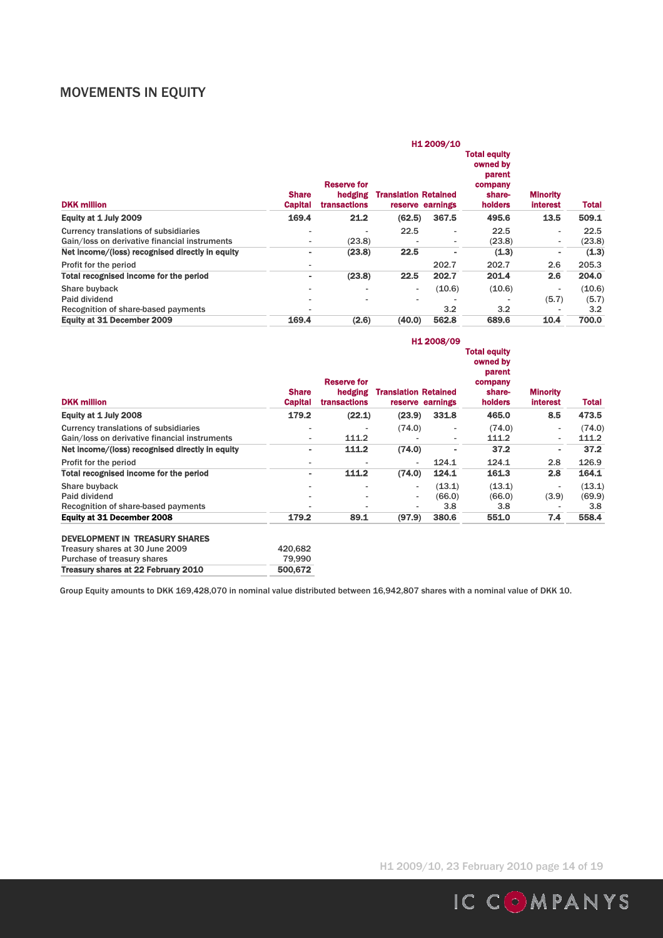## MOVEMENTS IN EQUITY

| <b>DKK million</b>                              | <b>Share</b><br><b>Capital</b> | Reserve for<br>hedging<br><b>transactions</b> | <b>Translation Retained</b> | H1 2009/10<br>reserve earnings | <b>Total equity</b><br>owned by<br>parent<br>company<br>share-<br>holders | <b>Minority</b><br><b>interest</b> | Total  |
|-------------------------------------------------|--------------------------------|-----------------------------------------------|-----------------------------|--------------------------------|---------------------------------------------------------------------------|------------------------------------|--------|
| Equity at 1 July 2009                           | 169.4                          | 21.2                                          | (62.5)                      | 367.5                          | 495.6                                                                     | 13.5                               | 509.1  |
| Currency translations of subsidiaries           | $\overline{\phantom{0}}$       |                                               | 22.5                        | $\overline{\phantom{a}}$       | 22.5                                                                      | $\overline{\phantom{a}}$           | 22.5   |
| Gain/loss on derivative financial instruments   | ٠                              | (23.8)                                        |                             | $\overline{\phantom{a}}$       | (23.8)                                                                    | $\overline{\phantom{a}}$           | (23.8) |
| Net income/(loss) recognised directly in equity | ۰                              | (23.8)                                        | 22.5                        | ۰                              | (1.3)                                                                     | ۰                                  | (1.3)  |
| Profit for the period                           | ۰                              |                                               |                             | 202.7                          | 202.7                                                                     | 2.6                                | 205.3  |
| <b>Total recognised income for the period</b>   | ۰                              | (23.8)                                        | 22.5                        | 202.7                          | 201.4                                                                     | 2.6                                | 204.0  |
| Share buyback                                   | $\overline{\phantom{a}}$       |                                               |                             | (10.6)                         | (10.6)                                                                    | $\overline{\phantom{a}}$           | (10.6) |
| Paid dividend                                   |                                |                                               |                             |                                |                                                                           | (5.7)                              | (5.7)  |
| Recognition of share-based payments             | $\overline{\phantom{a}}$       |                                               |                             | 3.2                            | 3.2                                                                       |                                    | 3.2    |
| Equity at 31 December 2009                      | 169.4                          | (2.6)                                         | (40.0)                      | 562.8                          | 689.6                                                                     | 10.4                               | 700.0  |

|                                                 |                                |                                               |                             | H1 2008/09               |                                                                           |                                    |              |
|-------------------------------------------------|--------------------------------|-----------------------------------------------|-----------------------------|--------------------------|---------------------------------------------------------------------------|------------------------------------|--------------|
| <b>DKK million</b>                              | <b>Share</b><br><b>Capital</b> | <b>Reserve for</b><br>hedging<br>transactions | <b>Translation Retained</b> | reserve earnings         | <b>Total equity</b><br>owned by<br>parent<br>company<br>share-<br>holders | <b>Minority</b><br><b>interest</b> | <b>Total</b> |
| Equity at 1 July 2008                           | 179.2                          | (22.1)                                        | (23.9)                      | 331.8                    | 465.0                                                                     | 8.5                                | 473.5        |
| Currency translations of subsidiaries           |                                |                                               | (74.0)                      |                          | (74.0)                                                                    | $\overline{\phantom{a}}$           | (74.0)       |
| Gain/loss on derivative financial instruments   | ۰                              | 111.2                                         |                             | $\overline{\phantom{0}}$ | 111.2                                                                     | $\overline{\phantom{a}}$           | 111.2        |
| Net income/(loss) recognised directly in equity | ۰                              | 111.2                                         | (74.0)                      |                          | 37.2                                                                      | ۰                                  | 37.2         |
| Profit for the period                           |                                |                                               |                             | 124.1                    | 124.1                                                                     | 2.8                                | 126.9        |
| Total recognised income for the period          | ۰                              | 111.2                                         | (74.0)                      | 124.1                    | 161.3                                                                     | 2.8                                | 164.1        |
| Share buyback                                   |                                |                                               | ۰                           | (13.1)                   | (13.1)                                                                    | $\overline{\phantom{a}}$           | (13.1)       |
| Paid dividend                                   |                                |                                               | $\sim$                      | (66.0)                   | (66.0)                                                                    | (3.9)                              | (69.9)       |
| Recognition of share-based payments             |                                |                                               |                             | 3.8                      | 3.8                                                                       | $\overline{\phantom{a}}$           | 3.8          |
| <b>Equity at 31 December 2008</b>               | 179.2                          | 89.1                                          | (97.9)                      | 380.6                    | 551.0                                                                     | 7.4                                | 558.4        |

#### DEVELOPMENT IN TREASURY SHARES

| Treasury shares at 22 February 2010 | 500,672 |
|-------------------------------------|---------|
| Purchase of treasury shares         | 79.990  |
| Treasury shares at 30 June 2009     | 420.682 |

Group Equity amounts to DKK 169,428,070 in nominal value distributed between 16,942,807 shares with a nominal value of DKK 10.

H1 2009/10, 23 February 2010 page 14 of 19

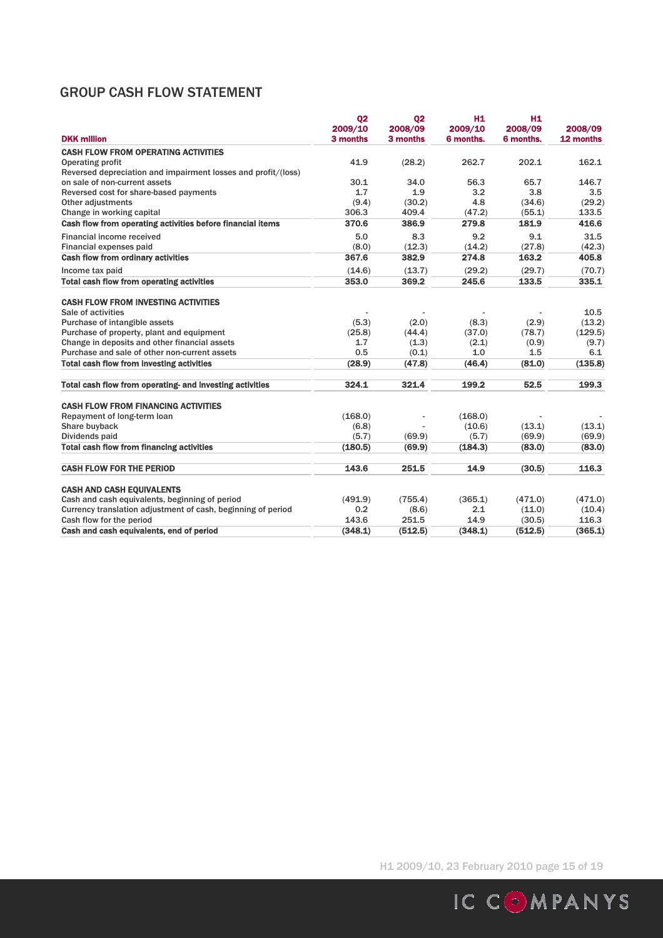## GROUP CASH FLOW STATEMENT

| <b>DKK million</b>                                            | 02<br>2009/10<br>3 months | 02<br>2008/09<br>3 months | H <sub>1</sub><br>2009/10<br>6 months. | H <sub>1</sub><br>2008/09<br>6 months. | 2008/09<br>12 months |
|---------------------------------------------------------------|---------------------------|---------------------------|----------------------------------------|----------------------------------------|----------------------|
| <b>CASH FLOW FROM OPERATING ACTIVITIES</b>                    |                           |                           |                                        |                                        |                      |
| <b>Operating profit</b>                                       | 41.9                      | (28.2)                    | 262.7                                  | 202.1                                  | 162.1                |
| Reversed depreciation and impairment losses and profit/(loss) |                           |                           |                                        |                                        |                      |
| on sale of non-current assets                                 | 30.1                      | 34.0                      | 56.3                                   | 65.7                                   | 146.7                |
| Reversed cost for share-based payments                        | 1.7                       | 1.9                       | 3.2                                    | 3.8                                    | 3.5                  |
| Other adjustments                                             | (9.4)                     | (30.2)                    | 4.8                                    | (34.6)                                 | (29.2)               |
| Change in working capital                                     | 306.3                     | 409.4                     | (47.2)                                 | (55.1)                                 | 133.5                |
| Cash flow from operating activities before financial items    | 370.6                     | 386.9                     | 279.8                                  | 181.9                                  | 416.6                |
| Financial income received                                     | 5.0                       | 8.3                       | 9.2                                    | 9.1                                    | 31.5                 |
| Financial expenses paid                                       | (8.0)                     | (12.3)                    | (14.2)                                 | (27.8)                                 | (42.3)               |
| <b>Cash flow from ordinary activities</b>                     | 367.6                     | 382.9                     | 274.8                                  | 163.2                                  | 405.8                |
| Income tax paid                                               | (14.6)                    | (13.7)                    | (29.2)                                 | (29.7)                                 | (70.7)               |
| <b>Total cash flow from operating activities</b>              | 353.0                     | 369.2                     | 245.6                                  | 133.5                                  | 335.1                |
| <b>CASH FLOW FROM INVESTING ACTIVITIES</b>                    |                           |                           |                                        |                                        |                      |
| Sale of activities                                            |                           |                           |                                        |                                        | 10.5                 |
| Purchase of intangible assets                                 | (5.3)                     | (2.0)                     | (8.3)                                  | (2.9)                                  | (13.2)               |
| Purchase of property, plant and equipment                     | (25.8)                    | (44.4)                    | (37.0)                                 | (78.7)                                 | (129.5)              |
| Change in deposits and other financial assets                 | 1.7                       | (1.3)                     | (2.1)                                  | (0.9)                                  | (9.7)                |
| Purchase and sale of other non-current assets                 | 0.5                       | (0.1)                     | 1.0                                    | 1.5                                    | 6.1                  |
| <b>Total cash flow from investing activities</b>              | (28.9)                    | (47.8)                    | (46.4)                                 | (81.0)                                 | (135.8)              |
| Total cash flow from operating- and investing activities      | 324.1                     | 321.4                     | 199.2                                  | 52.5                                   | 199.3                |
| <b>CASH FLOW FROM FINANCING ACTIVITIES</b>                    |                           |                           |                                        |                                        |                      |
| Repayment of long-term loan                                   | (168.0)                   |                           | (168.0)                                |                                        |                      |
| Share buyback                                                 | (6.8)                     |                           | (10.6)                                 | (13.1)                                 | (13.1)               |
| Dividends paid                                                | (5.7)                     | (69.9)                    | (5.7)                                  | (69.9)                                 | (69.9)               |
| <b>Total cash flow from financing activities</b>              | (180.5)                   | (69.9)                    | (184.3)                                | (83,0)                                 | (83,0)               |
| <b>CASH FLOW FOR THE PERIOD</b>                               | 143.6                     | 251.5                     | 14.9                                   | (30.5)                                 | 116.3                |
| <b>CASH AND CASH EOUIVALENTS</b>                              |                           |                           |                                        |                                        |                      |
| Cash and cash equivalents, beginning of period                | (491.9)                   | (755.4)                   | (365.1)                                | (471.0)                                | (471.0)              |
| Currency translation adjustment of cash, beginning of period  | 0.2                       | (8.6)                     | 2.1                                    | (11.0)                                 | (10.4)               |
| Cash flow for the period                                      | 143.6                     | 251.5                     | 14.9                                   | (30.5)                                 | 116.3                |
| Cash and cash equivalents, end of period                      | (348.1)                   | (512.5)                   | (348.1)                                | (512.5)                                | (365.1)              |

H1 2009/10, 23 February 2010 page 15 of 19

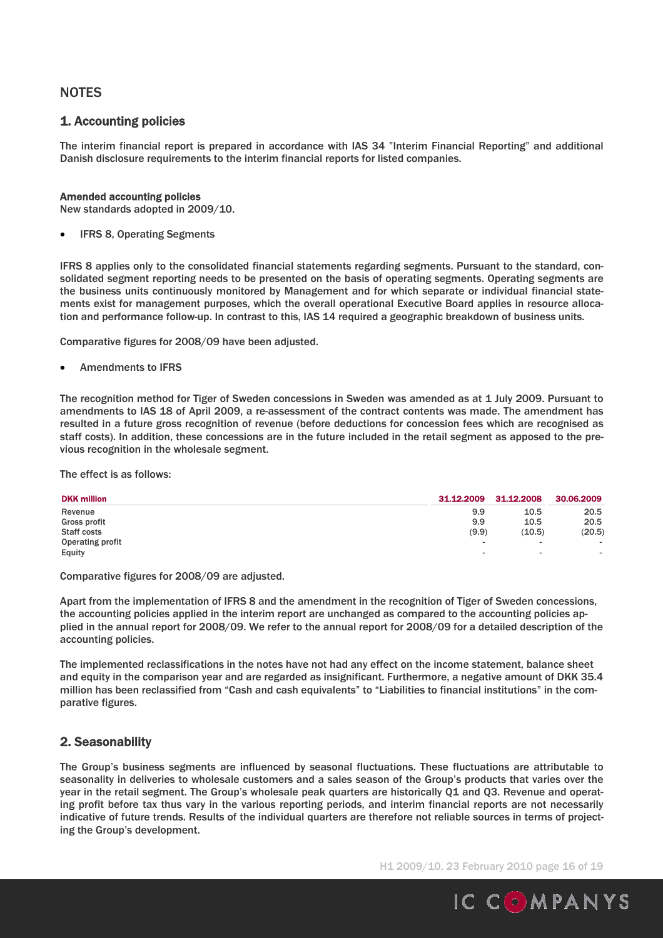## **NOTES**

## 1. Accounting policies

The interim financial report is prepared in accordance with IAS 34 "Interim Financial Reporting" and additional Danish disclosure requirements to the interim financial reports for listed companies.

#### Amended accounting policies

New standards adopted in 2009/10.

IFRS 8, Operating Segments

IFRS 8 applies only to the consolidated financial statements regarding segments. Pursuant to the standard, consolidated segment reporting needs to be presented on the basis of operating segments. Operating segments are the business units continuously monitored by Management and for which separate or individual financial statements exist for management purposes, which the overall operational Executive Board applies in resource allocation and performance follow-up. In contrast to this, IAS 14 required a geographic breakdown of business units.

Comparative figures for 2008/09 have been adjusted.

Amendments to IFRS

The recognition method for Tiger of Sweden concessions in Sweden was amended as at 1 July 2009. Pursuant to amendments to IAS 18 of April 2009, a re-assessment of the contract contents was made. The amendment has resulted in a future gross recognition of revenue (before deductions for concession fees which are recognised as staff costs). In addition, these concessions are in the future included in the retail segment as apposed to the previous recognition in the wholesale segment.

The effect is as follows:

| <b>DKK million</b> | 31.12.2009               | 31.12.2008               | 30.06.2009 |
|--------------------|--------------------------|--------------------------|------------|
| Revenue            | 9.9                      | 10.5                     | 20.5       |
| Gross profit       | 9.9                      | 10.5                     | 20.5       |
| Staff costs        | (9.9)                    | (10.5)                   | (20.5)     |
| Operating profit   | $\overline{\phantom{a}}$ | $\overline{\phantom{a}}$ | $\sim$     |
| Equity             | $\overline{\phantom{a}}$ | $\overline{\phantom{a}}$ | $\sim$     |

Comparative figures for 2008/09 are adjusted.

Apart from the implementation of IFRS 8 and the amendment in the recognition of Tiger of Sweden concessions, the accounting policies applied in the interim report are unchanged as compared to the accounting policies applied in the annual report for 2008/09. We refer to the annual report for 2008/09 for a detailed description of the accounting policies.

The implemented reclassifications in the notes have not had any effect on the income statement, balance sheet and equity in the comparison year and are regarded as insignificant. Furthermore, a negative amount of DKK 35.4 million has been reclassified from "Cash and cash equivalents" to "Liabilities to financial institutions" in the comparative figures.

## 2. Seasonability

The Group's business segments are influenced by seasonal fluctuations. These fluctuations are attributable to seasonality in deliveries to wholesale customers and a sales season of the Group's products that varies over the year in the retail segment. The Group's wholesale peak quarters are historically Q1 and Q3. Revenue and operating profit before tax thus vary in the various reporting periods, and interim financial reports are not necessarily indicative of future trends. Results of the individual quarters are therefore not reliable sources in terms of projecting the Group's development.

H1 2009/10, 23 February 2010 page 16 of 19

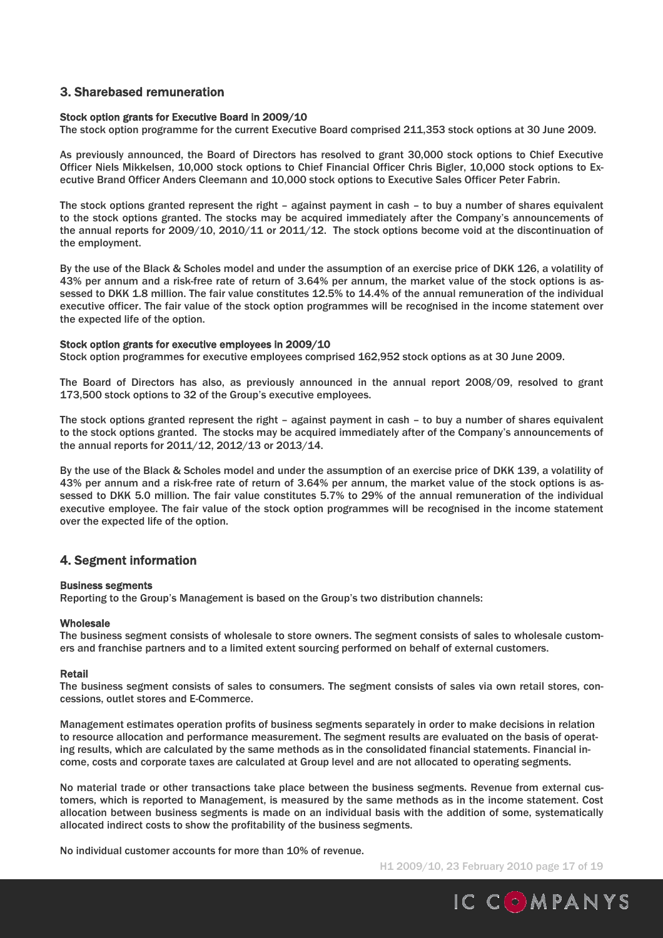## 3. Sharebased remuneration

#### Stock option grants for Executive Board in 2009/10

The stock option programme for the current Executive Board comprised 211,353 stock options at 30 June 2009.

As previously announced, the Board of Directors has resolved to grant 30,000 stock options to Chief Executive Officer Niels Mikkelsen, 10,000 stock options to Chief Financial Officer Chris Bigler, 10,000 stock options to Executive Brand Officer Anders Cleemann and 10,000 stock options to Executive Sales Officer Peter Fabrin.

The stock options granted represent the right – against payment in cash – to buy a number of shares equivalent to the stock options granted. The stocks may be acquired immediately after the Company's announcements of the annual reports for 2009/10, 2010/11 or 2011/12. The stock options become void at the discontinuation of the employment.

By the use of the Black & Scholes model and under the assumption of an exercise price of DKK 126, a volatility of 43% per annum and a risk-free rate of return of 3.64% per annum, the market value of the stock options is assessed to DKK 1.8 million. The fair value constitutes 12.5% to 14.4% of the annual remuneration of the individual executive officer. The fair value of the stock option programmes will be recognised in the income statement over the expected life of the option.

#### Stock option grants for executive employees in 2009/10

Stock option programmes for executive employees comprised 162,952 stock options as at 30 June 2009.

The Board of Directors has also, as previously announced in the annual report 2008/09, resolved to grant 173,500 stock options to 32 of the Group's executive employees.

The stock options granted represent the right – against payment in cash – to buy a number of shares equivalent to the stock options granted. The stocks may be acquired immediately after of the Company's announcements of the annual reports for 2011/12, 2012/13 or 2013/14.

By the use of the Black & Scholes model and under the assumption of an exercise price of DKK 139, a volatility of 43% per annum and a risk-free rate of return of 3.64% per annum, the market value of the stock options is assessed to DKK 5.0 million. The fair value constitutes 5.7% to 29% of the annual remuneration of the individual executive employee. The fair value of the stock option programmes will be recognised in the income statement over the expected life of the option.

### 4. Segment information

#### Business segments

Reporting to the Group's Management is based on the Group's two distribution channels:

#### **Wholesale**

The business segment consists of wholesale to store owners. The segment consists of sales to wholesale customers and franchise partners and to a limited extent sourcing performed on behalf of external customers.

#### Retail

The business segment consists of sales to consumers. The segment consists of sales via own retail stores, concessions, outlet stores and E-Commerce.

Management estimates operation profits of business segments separately in order to make decisions in relation to resource allocation and performance measurement. The segment results are evaluated on the basis of operating results, which are calculated by the same methods as in the consolidated financial statements. Financial income, costs and corporate taxes are calculated at Group level and are not allocated to operating segments.

No material trade or other transactions take place between the business segments. Revenue from external customers, which is reported to Management, is measured by the same methods as in the income statement. Cost allocation between business segments is made on an individual basis with the addition of some, systematically allocated indirect costs to show the profitability of the business segments.

No individual customer accounts for more than 10% of revenue.

H1 2009/10, 23 February 2010 page 17 of 19

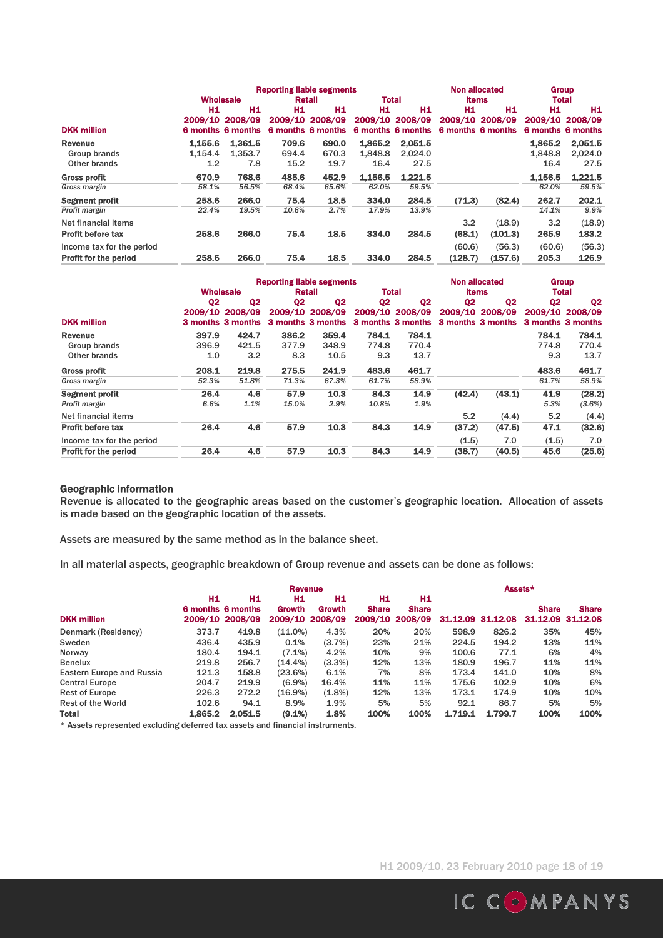|                              |               | <b>Reporting liable segments</b>               |               |                                    |         |                                            |         |                                                        | <b>Group</b> |                                            |  |
|------------------------------|---------------|------------------------------------------------|---------------|------------------------------------|---------|--------------------------------------------|---------|--------------------------------------------------------|--------------|--------------------------------------------|--|
|                              |               | <b>Wholesale</b>                               |               | <b>Retail</b>                      |         | <b>Total</b>                               |         | <b>items</b>                                           |              | <b>Total</b>                               |  |
| <b>DKK million</b>           | Н1<br>2009/10 | H <sub>1</sub><br>2008/09<br>6 months 6 months | H1<br>2009/10 | H1<br>2008/09<br>6 months 6 months | H1      | H1<br>2009/10 2008/09<br>6 months 6 months | Η1      | H <sub>1</sub><br>2009/10 2008/09<br>6 months 6 months | H1           | H1<br>2009/10 2008/09<br>6 months 6 months |  |
| <b>Revenue</b>               | 1,155.6       | 1.361.5                                        | 709.6         | 690.0                              | 1.865.2 | 2.051.5                                    |         |                                                        | 1.865.2      | 2.051.5                                    |  |
| Group brands                 | 1.154.4       | 1.353.7                                        | 694.4         | 670.3                              | 1.848.8 | 2.024.0                                    |         |                                                        | 1.848.8      | 2,024.0                                    |  |
| Other brands                 | 1.2           | 7.8                                            | 15.2          | 19.7                               | 16.4    | 27.5                                       |         |                                                        | 16.4         | 27.5                                       |  |
| <b>Gross profit</b>          | 670.9         | 768.6                                          | 485.6         | 452.9                              | 1.156.5 | 1.221.5                                    |         |                                                        | 1.156.5      | 1.221.5                                    |  |
| Gross margin                 | 58.1%         | 56.5%                                          | 68.4%         | 65.6%                              | 62.0%   | 59.5%                                      |         |                                                        | 62.0%        | 59.5%                                      |  |
| <b>Segment profit</b>        | 258.6         | 266.0                                          | 75.4          | 18.5                               | 334.0   | 284.5                                      | (71.3)  | (82.4)                                                 | 262.7        | 202.1                                      |  |
| Profit margin                | 22.4%         | 19.5%                                          | 10.6%         | 2.7%                               | 17.9%   | 13.9%                                      |         |                                                        | 14.1%        | 9.9%                                       |  |
| Net financial items          |               |                                                |               |                                    |         |                                            | 3.2     | (18.9)                                                 | 3.2          | (18.9)                                     |  |
| <b>Profit before tax</b>     | 258.6         | 266.0                                          | 75.4          | 18.5                               | 334.0   | 284.5                                      | (68.1)  | (101.3)                                                | 265.9        | 183.2                                      |  |
| Income tax for the period    |               |                                                |               |                                    |         |                                            | (60.6)  | (56.3)                                                 | (60.6)       | (56.3)                                     |  |
| <b>Profit for the period</b> | 258.6         | 266.0                                          | 75.4          | 18.5                               | 334.0   | 284.5                                      | (128.7) | (157.6)                                                | 205.3        | 126.9                                      |  |

|                              |                |                              | <b>Reporting liable segments</b> |                              |                |                                      |                | <b>Non allocated</b>                 | <b>Group</b>                 |                |
|------------------------------|----------------|------------------------------|----------------------------------|------------------------------|----------------|--------------------------------------|----------------|--------------------------------------|------------------------------|----------------|
|                              |                | <b>Wholesale</b>             | Retail                           |                              | <b>Total</b>   |                                      | <b>items</b>   |                                      | <b>Total</b>                 |                |
|                              | Q <sub>2</sub> | Q <sub>2</sub>               | Q <sub>2</sub>                   | Q <sub>2</sub>               | Q <sub>2</sub> | Q <sub>2</sub>                       | Q <sub>2</sub> | Q <sub>2</sub>                       | Q <sub>2</sub>               | Q <sub>2</sub> |
| <b>DKK million</b>           | 2009/10        | 2008/09<br>3 months 3 months | 2009/10                          | 2008/09<br>3 months 3 months |                | 2009/10 2008/09<br>3 months 3 months |                | 2009/10 2008/09<br>3 months 3 months | 2009/10<br>3 months 3 months | 2008/09        |
| Revenue                      | 397.9          | 424.7                        | 386.2                            | 359.4                        | 784.1          | 784.1                                |                |                                      | 784.1                        | 784.1          |
| Group brands                 | 396.9          | 421.5                        | 377.9                            | 348.9                        | 774.8          | 770.4                                |                |                                      | 774.8                        | 770.4          |
| Other brands                 | 1.0            | 3.2                          | 8.3                              | 10.5                         | 9.3            | 13.7                                 |                |                                      | 9.3                          | 13.7           |
| <b>Gross profit</b>          | 208.1          | 219.8                        | 275.5                            | 241.9                        | 483.6          | 461.7                                |                |                                      | 483.6                        | 461.7          |
| Gross margin                 | 52.3%          | 51.8%                        | 71.3%                            | 67.3%                        | 61.7%          | 58.9%                                |                |                                      | 61.7%                        | 58.9%          |
| <b>Segment profit</b>        | 26.4           | 4.6                          | 57.9                             | 10.3                         | 84.3           | 14.9                                 | (42.4)         | (43.1)                               | 41.9                         | (28.2)         |
| Profit margin                | 6.6%           | 1.1%                         | 15.0%                            | 2.9%                         | 10.8%          | 1.9%                                 |                |                                      | 5.3%                         | (3.6%)         |
| Net financial items          |                |                              |                                  |                              |                |                                      | 5.2            | (4.4)                                | 5.2                          | (4.4)          |
| <b>Profit before tax</b>     | 26.4           | 4.6                          | 57.9                             | 10.3                         | 84.3           | 14.9                                 | (37.2)         | (47.5)                               | 47.1                         | (32.6)         |
| Income tax for the period    |                |                              |                                  |                              |                |                                      | (1.5)          | 7.0                                  | (1.5)                        | 7.0            |
| <b>Profit for the period</b> | 26.4           | 4.6                          | 57.9                             | 10.3                         | 84.3           | 14.9                                 | (38.7)         | (40.5)                               | 45.6                         | (25.6)         |

#### Geographic information

Revenue is allocated to the geographic areas based on the customer's geographic location. Allocation of assets is made based on the geographic location of the assets.

Assets are measured by the same method as in the balance sheet.

In all material aspects, geographic breakdown of Group revenue and assets can be done as follows:

|                           |         |                                            | Revenue      |                                 |                    |                                       |         |                   | Assets*      |                                   |  |
|---------------------------|---------|--------------------------------------------|--------------|---------------------------------|--------------------|---------------------------------------|---------|-------------------|--------------|-----------------------------------|--|
| <b>DKK million</b>        | H1      | H1<br>6 months 6 months<br>2009/10 2008/09 | Н1<br>Growth | H1<br>Growth<br>2009/10 2008/09 | H1<br><b>Share</b> | H1<br><b>Share</b><br>2009/10 2008/09 |         | 31.12.09 31.12.08 | <b>Share</b> | <b>Share</b><br>31.12.09 31.12.08 |  |
| Denmark (Residency)       | 373.7   | 419.8                                      | $(11.0\%)$   | 4.3%                            | 20%                | 20%                                   | 598.9   | 826.2             | 35%          | 45%                               |  |
| Sweden                    | 436.4   | 435.9                                      | 0.1%         | (3.7%)                          | 23%                | 21%                                   | 224.5   | 194.2             | 13%          | 11%                               |  |
| Norway                    | 180.4   | 194.1                                      | $(7.1\%)$    | 4.2%                            | 10%                | 9%                                    | 100.6   | 77.1              | 6%           | 4%                                |  |
| <b>Benelux</b>            | 219.8   | 256.7                                      | $(14.4\%)$   | $(3.3\%)$                       | 12%                | 13%                                   | 180.9   | 196.7             | 11%          | 11%                               |  |
| Eastern Europe and Russia | 121.3   | 158.8                                      | (23.6%)      | 6.1%                            | 7%                 | 8%                                    | 173.4   | 141.0             | 10%          | 8%                                |  |
| <b>Central Europe</b>     | 204.7   | 219.9                                      | $(6.9\%)$    | 16.4%                           | 11%                | 11%                                   | 175.6   | 102.9             | 10%          | 6%                                |  |
| <b>Rest of Europe</b>     | 226.3   | 272.2                                      | $(16.9\%)$   | $(1.8\%)$                       | 12%                | 13%                                   | 173.1   | 174.9             | 10%          | 10%                               |  |
| <b>Rest of the World</b>  | 102.6   | 94.1                                       | 8.9%         | 1.9%                            | 5%                 | 5%                                    | 92.1    | 86.7              | 5%           | 5%                                |  |
| <b>Total</b>              | 1.865.2 | 2,051.5                                    | (9.1%)       | 1.8%                            | 100%               | 100%                                  | 1.719.1 | 1.799.7           | 100%         | 100%                              |  |

\* Assets represented excluding deferred tax assets and financial instruments.